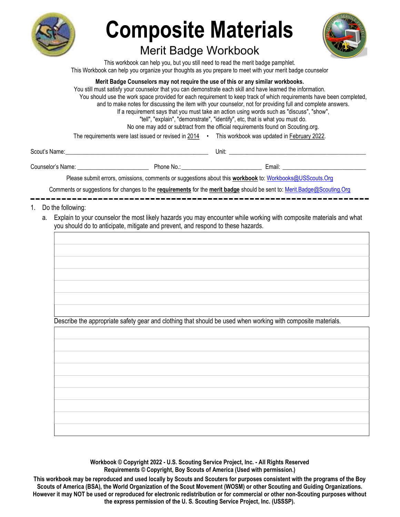

# Composite Materials

### Merit Badge Workbook



This workbook can help you, but you still need to read the merit badge pamphlet. This Workbook can help you organize your thoughts as you prepare to meet with your merit badge counselor

Merit Badge Counselors may not require the use of this or any similar workbooks.

You still must satisfy your counselor that you can demonstrate each skill and have learned the information. You should use the work space provided for each requirement to keep track of which requirements have been completed, and to make notes for discussing the item with your counselor, not for providing full and complete answers. If a requirement says that you must take an action using words such as "discuss", "show", "tell", "explain", "demonstrate", "identify", etc, that is what you must do. No one may add or subtract from the official requirements found on Scouting.org. The requirements were last issued or revised in 2014 • This workbook was updated in February 2022.

Scout's Name: \_\_\_\_\_\_\_\_\_\_\_\_\_\_\_\_\_\_\_\_\_\_\_\_\_\_\_\_\_\_\_\_\_\_\_\_\_\_\_\_\_\_\_\_\_\_\_\_ Unit: \_\_\_\_\_\_\_\_\_\_\_\_\_\_\_\_\_\_\_\_\_\_\_\_\_\_\_\_\_\_\_\_\_\_\_\_\_\_\_\_\_\_\_\_\_\_

Counselor's Name: \_\_\_\_\_\_\_\_\_\_\_\_\_\_\_\_\_\_\_\_\_\_\_\_ Phone No.: \_\_\_\_\_\_\_\_\_\_\_\_\_\_\_\_\_\_\_\_\_\_\_\_\_\_\_ Email: \_\_\_\_\_\_\_\_\_\_\_\_\_\_\_\_\_\_\_\_\_\_\_\_\_\_\_\_

Please submit errors, omissions, comments or suggestions about this workbook to: Workbooks@USScouts.Org

Comments or suggestions for changes to the requirements for the merit badge should be sent to: Merit.Badge@Scouting.Org

- 1. Do the following:
	- a. Explain to your counselor the most likely hazards you may encounter while working with composite materials and what you should do to anticipate, mitigate and prevent, and respond to these hazards.

Describe the appropriate safety gear and clothing that should be used when working with composite materials.

Workbook © Copyright 2022 - U.S. Scouting Service Project, Inc. - All Rights Reserved Requirements © Copyright, Boy Scouts of America (Used with permission.)

This workbook may be reproduced and used locally by Scouts and Scouters for purposes consistent with the programs of the Boy Scouts of America (BSA), the World Organization of the Scout Movement (WOSM) or other Scouting and Guiding Organizations. However it may NOT be used or reproduced for electronic redistribution or for commercial or other non-Scouting purposes without the express permission of the U. S. Scouting Service Project, Inc. (USSSP).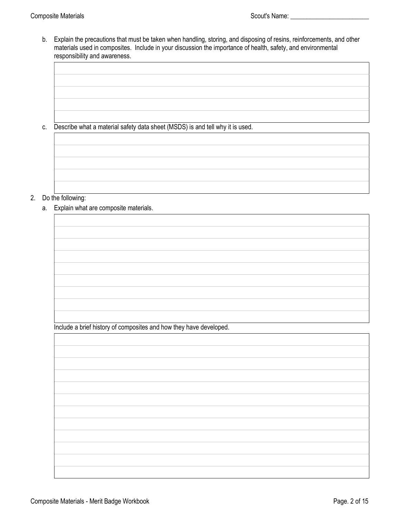b. Explain the precautions that must be taken when handling, storing, and disposing of resins, reinforcements, and other materials used in composites. Include in your discussion the importance of health, safety, and environmental responsibility and awareness.

c. Describe what a material safety data sheet (MSDS) is and tell why it is used.

#### 2. Do the following:

a. Explain what are composite materials.

Include a brief history of composites and how they have developed.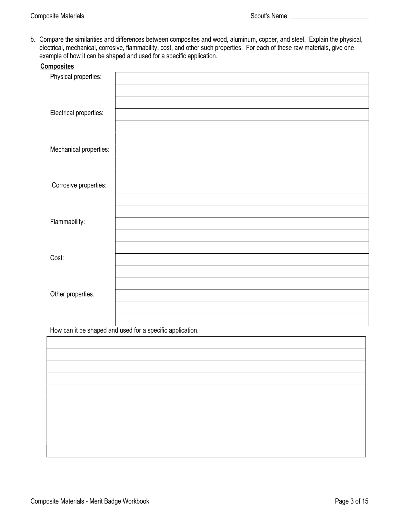b. Compare the similarities and differences between composites and wood, aluminum, copper, and steel. Explain the physical, electrical, mechanical, corrosive, flammability, cost, and other such properties. For each of these raw materials, give one example of how it can be shaped and used for a specific application.

| <b>Composites</b>      |  |
|------------------------|--|
| Physical properties:   |  |
|                        |  |
|                        |  |
| Electrical properties: |  |
|                        |  |
|                        |  |
| Mechanical properties: |  |
|                        |  |
|                        |  |
| Corrosive properties:  |  |
|                        |  |
|                        |  |
| Flammability:          |  |
|                        |  |
|                        |  |
| Cost:                  |  |
|                        |  |
|                        |  |
| Other properties.      |  |
|                        |  |
|                        |  |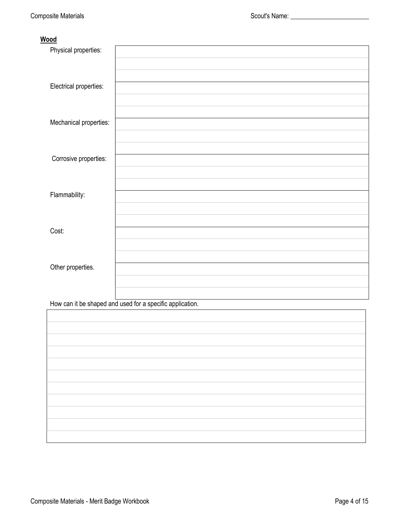#### Wood

| Physical properties:   |  |
|------------------------|--|
|                        |  |
|                        |  |
| Electrical properties: |  |
|                        |  |
|                        |  |
| Mechanical properties: |  |
|                        |  |
| Corrosive properties:  |  |
|                        |  |
|                        |  |
| Flammability:          |  |
|                        |  |
|                        |  |
| Cost:                  |  |
|                        |  |
|                        |  |
| Other properties.      |  |
|                        |  |
|                        |  |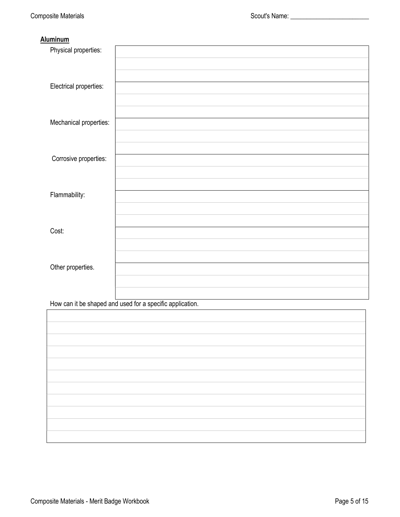#### **Aluminum**

| Physical properties:   |  |
|------------------------|--|
|                        |  |
|                        |  |
| Electrical properties: |  |
|                        |  |
|                        |  |
| Mechanical properties: |  |
|                        |  |
|                        |  |
| Corrosive properties:  |  |
|                        |  |
|                        |  |
| Flammability:          |  |
|                        |  |
|                        |  |
| Cost:                  |  |
|                        |  |
|                        |  |
| Other properties.      |  |
|                        |  |
|                        |  |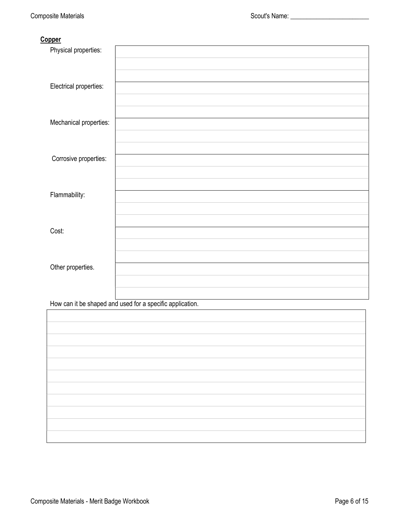#### **Copper**

| Physical properties:   |  |
|------------------------|--|
|                        |  |
|                        |  |
| Electrical properties: |  |
|                        |  |
|                        |  |
| Mechanical properties: |  |
|                        |  |
|                        |  |
| Corrosive properties:  |  |
|                        |  |
|                        |  |
| Flammability:          |  |
|                        |  |
|                        |  |
| Cost:                  |  |
|                        |  |
|                        |  |
| Other properties.      |  |
|                        |  |
|                        |  |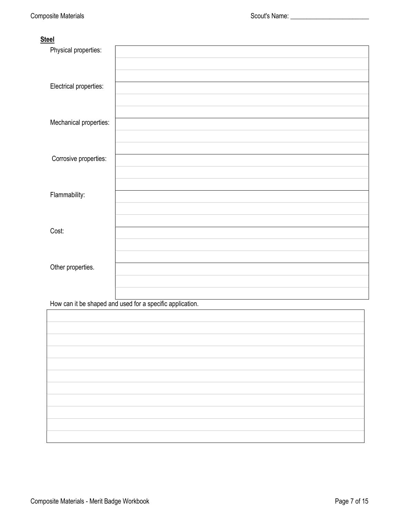#### **Steel**

| Physical properties:   |  |
|------------------------|--|
|                        |  |
|                        |  |
| Electrical properties: |  |
|                        |  |
|                        |  |
| Mechanical properties: |  |
|                        |  |
|                        |  |
| Corrosive properties:  |  |
|                        |  |
|                        |  |
| Flammability:          |  |
|                        |  |
| Cost:                  |  |
|                        |  |
|                        |  |
| Other properties.      |  |
|                        |  |
|                        |  |
|                        |  |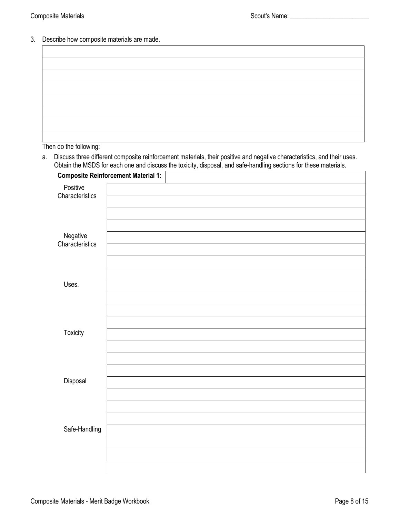3. Describe how composite materials are made.

Then do the following:

a. Discuss three different composite reinforcement materials, their positive and negative characteristics, and their uses. Obtain the MSDS for each one and discuss the toxicity, disposal, and safe-handling sections for these materials.

|                             | <b>Composite Reinforcement Material 1:</b> |  |  |
|-----------------------------|--------------------------------------------|--|--|
| Positive<br>Characteristics |                                            |  |  |
|                             |                                            |  |  |
|                             |                                            |  |  |
| Negative<br>Characteristics |                                            |  |  |
|                             |                                            |  |  |
|                             |                                            |  |  |
|                             |                                            |  |  |
| Uses.                       |                                            |  |  |
|                             |                                            |  |  |
|                             |                                            |  |  |
|                             |                                            |  |  |
| Toxicity                    |                                            |  |  |
|                             |                                            |  |  |
|                             |                                            |  |  |
|                             |                                            |  |  |
| Disposal                    |                                            |  |  |
|                             |                                            |  |  |
|                             |                                            |  |  |
|                             |                                            |  |  |
| Safe-Handling               |                                            |  |  |
|                             |                                            |  |  |
|                             |                                            |  |  |
|                             |                                            |  |  |
|                             |                                            |  |  |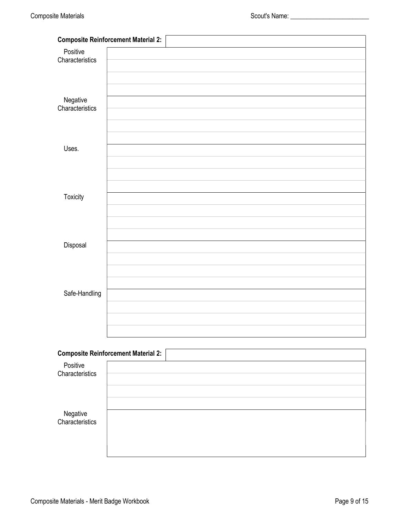|                             | <b>Composite Reinforcement Material 2:</b> |  |
|-----------------------------|--------------------------------------------|--|
| Positive                    |                                            |  |
| Characteristics             |                                            |  |
|                             |                                            |  |
|                             |                                            |  |
|                             |                                            |  |
| Negative<br>Characteristics |                                            |  |
|                             |                                            |  |
|                             |                                            |  |
| Uses.                       |                                            |  |
|                             |                                            |  |
|                             |                                            |  |
|                             |                                            |  |
| Toxicity                    |                                            |  |
|                             |                                            |  |
|                             |                                            |  |
|                             |                                            |  |
|                             |                                            |  |
| Disposal                    |                                            |  |
|                             |                                            |  |
|                             |                                            |  |
|                             |                                            |  |
| Safe-Handling               |                                            |  |
|                             |                                            |  |
|                             |                                            |  |
|                             |                                            |  |
|                             |                                            |  |
|                             | <b>Composite Reinforcement Material 2:</b> |  |
| Positive<br>Characteristics |                                            |  |
|                             |                                            |  |
|                             |                                            |  |
|                             |                                            |  |
| Negative<br>Characteristics |                                            |  |
|                             |                                            |  |
|                             |                                            |  |
|                             |                                            |  |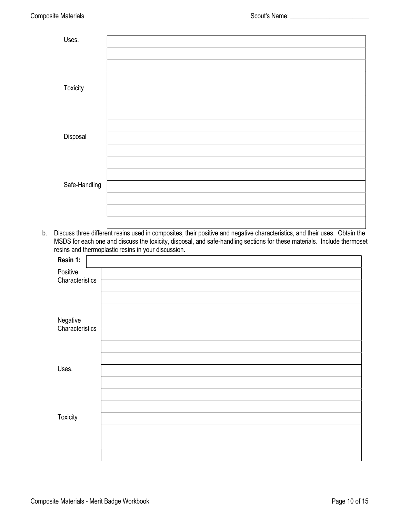| Uses.         |  |
|---------------|--|
|               |  |
|               |  |
|               |  |
|               |  |
|               |  |
|               |  |
|               |  |
|               |  |
| Toxicity      |  |
|               |  |
|               |  |
|               |  |
|               |  |
|               |  |
|               |  |
|               |  |
|               |  |
| Disposal      |  |
|               |  |
|               |  |
|               |  |
|               |  |
|               |  |
|               |  |
|               |  |
|               |  |
| Safe-Handling |  |
|               |  |
|               |  |
|               |  |
|               |  |
|               |  |
|               |  |
|               |  |

b. Discuss three different resins used in composites, their positive and negative characteristics, and their uses. Obtain the MSDS for each one and discuss the toxicity, disposal, and safe-handling sections for these materials. Include thermoset resins and thermoplastic resins in your discussion.

| Resin 1:                    |  |
|-----------------------------|--|
| Positive<br>Characteristics |  |
| Negative<br>Characteristics |  |
| Uses.                       |  |
|                             |  |
| <b>Toxicity</b>             |  |
|                             |  |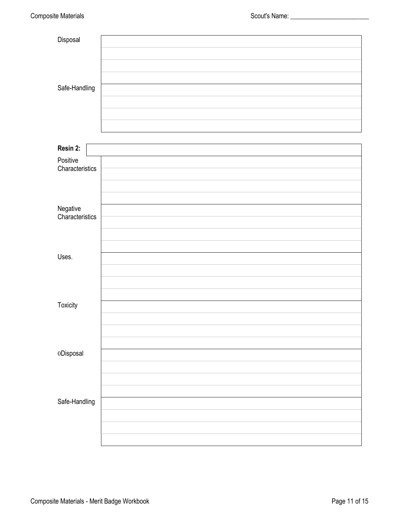| Disposal                    |  |
|-----------------------------|--|
|                             |  |
|                             |  |
|                             |  |
| Safe-Handling               |  |
|                             |  |
|                             |  |
|                             |  |
|                             |  |
| Resin 2:                    |  |
| Positive<br>Characteristics |  |
|                             |  |
|                             |  |
|                             |  |
| Negative<br>Characteristics |  |
|                             |  |
|                             |  |
|                             |  |
| Uses.                       |  |
|                             |  |
|                             |  |
|                             |  |
| Toxicity                    |  |
|                             |  |
|                             |  |
| 0Disposal                   |  |
|                             |  |
|                             |  |
|                             |  |
| Safe-Handling               |  |
|                             |  |
|                             |  |
|                             |  |
|                             |  |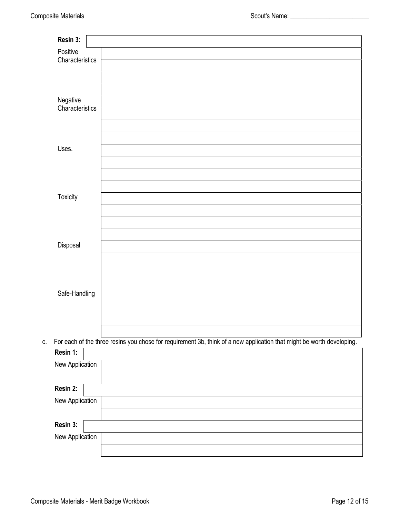| Resin 3:        |                                                                                                                       |
|-----------------|-----------------------------------------------------------------------------------------------------------------------|
| Positive        |                                                                                                                       |
| Characteristics |                                                                                                                       |
|                 |                                                                                                                       |
|                 |                                                                                                                       |
| Negative        |                                                                                                                       |
| Characteristics |                                                                                                                       |
|                 |                                                                                                                       |
|                 |                                                                                                                       |
|                 |                                                                                                                       |
| Uses.           |                                                                                                                       |
|                 |                                                                                                                       |
|                 |                                                                                                                       |
|                 |                                                                                                                       |
| Toxicity        |                                                                                                                       |
|                 |                                                                                                                       |
|                 |                                                                                                                       |
|                 |                                                                                                                       |
|                 |                                                                                                                       |
| Disposal        |                                                                                                                       |
|                 |                                                                                                                       |
|                 |                                                                                                                       |
|                 |                                                                                                                       |
| Safe-Handling   |                                                                                                                       |
|                 |                                                                                                                       |
|                 |                                                                                                                       |
|                 |                                                                                                                       |
| C.              | For each of the three resins you chose for requirement 3b, think of a new application that might be worth developing. |
| Resin 1:        |                                                                                                                       |
| New Application |                                                                                                                       |
|                 |                                                                                                                       |
| Resin 2:        |                                                                                                                       |
|                 |                                                                                                                       |
| New Application |                                                                                                                       |
|                 |                                                                                                                       |
| Resin 3:        |                                                                                                                       |
| New Application |                                                                                                                       |
|                 |                                                                                                                       |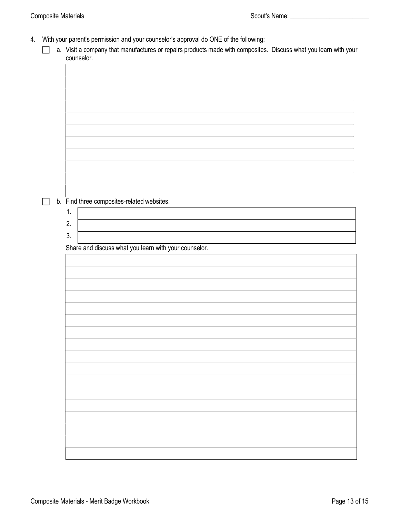- 4. With your parent's permission and your counselor's approval do ONE of the following:
	- a. Visit a company that manufactures or repairs products made with composites. Discuss what you learn with your counselor.

| b. Find three composites-related websites.            |
|-------------------------------------------------------|
|                                                       |
| 1.                                                    |
|                                                       |
| 2.                                                    |
| 3.                                                    |
|                                                       |
| Share and discuss what you learn with your counselor. |
|                                                       |
|                                                       |
|                                                       |
|                                                       |
|                                                       |
|                                                       |
|                                                       |
|                                                       |
|                                                       |
|                                                       |
|                                                       |
|                                                       |
|                                                       |
|                                                       |
|                                                       |
|                                                       |
|                                                       |
|                                                       |
|                                                       |
|                                                       |
|                                                       |
|                                                       |
|                                                       |
|                                                       |
|                                                       |
|                                                       |
|                                                       |
|                                                       |
|                                                       |
|                                                       |
|                                                       |
|                                                       |
|                                                       |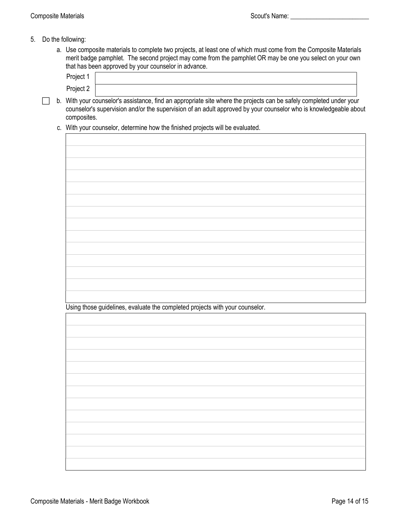- 5. Do the following:
	- a. Use composite materials to complete two projects, at least one of which must come from the Composite Materials merit badge pamphlet. The second project may come from the pamphlet OR may be one you select on your own that has been approved by your counselor in advance.

| Project 1 |                                                                                                                      |
|-----------|----------------------------------------------------------------------------------------------------------------------|
| Project 2 |                                                                                                                      |
|           | With comparisonal and a carbiners. Contain a componie to allow the contactor and top substituted in the local modern |

- $\Box$  b. With your counselor's assistance, find an appropriate site where the projects can be safely completed under your counselor's supervision and/or the supervision of an adult approved by your counselor who is knowledgeable about composites.
	- c. With your counselor, determine how the finished projects will be evaluated.

| Using those guidelines, evaluate the completed projects with your counselor. |  |  |
|------------------------------------------------------------------------------|--|--|
|                                                                              |  |  |
|                                                                              |  |  |
|                                                                              |  |  |
|                                                                              |  |  |
|                                                                              |  |  |
|                                                                              |  |  |
|                                                                              |  |  |
|                                                                              |  |  |
|                                                                              |  |  |
|                                                                              |  |  |
|                                                                              |  |  |
|                                                                              |  |  |
|                                                                              |  |  |
|                                                                              |  |  |
|                                                                              |  |  |
|                                                                              |  |  |
|                                                                              |  |  |
|                                                                              |  |  |
|                                                                              |  |  |
|                                                                              |  |  |
|                                                                              |  |  |
|                                                                              |  |  |
|                                                                              |  |  |
|                                                                              |  |  |
|                                                                              |  |  |
|                                                                              |  |  |
|                                                                              |  |  |
|                                                                              |  |  |
|                                                                              |  |  |
|                                                                              |  |  |
|                                                                              |  |  |
|                                                                              |  |  |
|                                                                              |  |  |
|                                                                              |  |  |
|                                                                              |  |  |
|                                                                              |  |  |
|                                                                              |  |  |
|                                                                              |  |  |